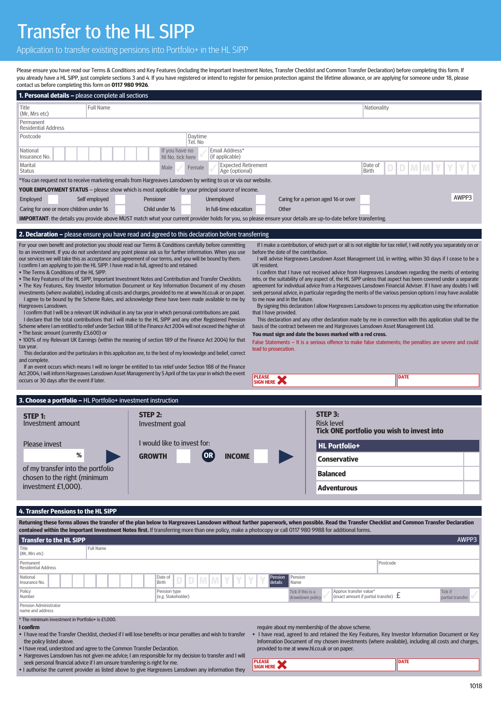## Transfer to the HL SIPP

Application to transfer existing pensions into Portfolio+ in the HL SIPP

Please ensure you have read our Terms & Conditions and Key Features (including the Important Investment Notes, Transfer Checklist and Common Transfer Declaration) before completing this form. If you already have a HL SIPP, just complete sections 3 and 4. If you have registered or intend to register for pension protection against the lifetime allowance, or are applying for someone under 18, please contact us before completing this form on **0117 980 9926**.

| <b>1. Personal details –</b> please complete all sections                                                                                                                                                                                                                                                                                                                                                                             |                                                                                                                                                                                                                                      |                  |                                                                         |                                                                                                                                                           |                                       |                                     |                                                                                                                                                                                          |                                    |  |
|---------------------------------------------------------------------------------------------------------------------------------------------------------------------------------------------------------------------------------------------------------------------------------------------------------------------------------------------------------------------------------------------------------------------------------------|--------------------------------------------------------------------------------------------------------------------------------------------------------------------------------------------------------------------------------------|------------------|-------------------------------------------------------------------------|-----------------------------------------------------------------------------------------------------------------------------------------------------------|---------------------------------------|-------------------------------------|------------------------------------------------------------------------------------------------------------------------------------------------------------------------------------------|------------------------------------|--|
| Title<br>(Mr, Mrs etc)                                                                                                                                                                                                                                                                                                                                                                                                                |                                                                                                                                                                                                                                      | <b>Full Name</b> |                                                                         |                                                                                                                                                           |                                       |                                     |                                                                                                                                                                                          | Nationality                        |  |
| Permanent<br><b>Residential Address</b>                                                                                                                                                                                                                                                                                                                                                                                               |                                                                                                                                                                                                                                      |                  |                                                                         |                                                                                                                                                           |                                       |                                     |                                                                                                                                                                                          |                                    |  |
| Daytime<br>Postcode<br>Tel. No                                                                                                                                                                                                                                                                                                                                                                                                        |                                                                                                                                                                                                                                      |                  |                                                                         |                                                                                                                                                           |                                       |                                     |                                                                                                                                                                                          |                                    |  |
| National<br>Insurance No.                                                                                                                                                                                                                                                                                                                                                                                                             |                                                                                                                                                                                                                                      |                  | If you have no<br>Email Address*<br>NI No. tick here<br>(if applicable) |                                                                                                                                                           |                                       |                                     |                                                                                                                                                                                          |                                    |  |
| Marital<br><b>Expected Retirement</b><br>Date of<br>Male<br>Female<br><b>Birth</b><br>Age (optional)<br>Status                                                                                                                                                                                                                                                                                                                        |                                                                                                                                                                                                                                      |                  |                                                                         |                                                                                                                                                           |                                       |                                     |                                                                                                                                                                                          |                                    |  |
| *You can request not to receive marketing emails from Hargreaves Lansdown by writing to us or via our website.                                                                                                                                                                                                                                                                                                                        |                                                                                                                                                                                                                                      |                  |                                                                         |                                                                                                                                                           |                                       |                                     |                                                                                                                                                                                          |                                    |  |
| <b>YOUR EMPLOYMENT STATUS</b> - please show which is most applicable for your principal source of income.                                                                                                                                                                                                                                                                                                                             |                                                                                                                                                                                                                                      |                  |                                                                         |                                                                                                                                                           |                                       |                                     |                                                                                                                                                                                          |                                    |  |
| Employed                                                                                                                                                                                                                                                                                                                                                                                                                              | Self employed<br>Pensioner                                                                                                                                                                                                           |                  |                                                                         | Unemployed                                                                                                                                                |                                       | Caring for a person aged 16 or over |                                                                                                                                                                                          | AWPP3                              |  |
|                                                                                                                                                                                                                                                                                                                                                                                                                                       | Caring for one or more children under 16<br>Child under 16<br><b>IMPORTANT:</b> the details you provide above MUST match what your current provider holds for you, so please ensure your details are up-to-date before transferring. |                  |                                                                         | In full-time education                                                                                                                                    | Other                                 |                                     |                                                                                                                                                                                          |                                    |  |
|                                                                                                                                                                                                                                                                                                                                                                                                                                       |                                                                                                                                                                                                                                      |                  |                                                                         |                                                                                                                                                           |                                       |                                     |                                                                                                                                                                                          |                                    |  |
| <b>2. Declaration -</b> please ensure you have read and agreed to this declaration before transferring                                                                                                                                                                                                                                                                                                                                |                                                                                                                                                                                                                                      |                  |                                                                         |                                                                                                                                                           |                                       |                                     |                                                                                                                                                                                          |                                    |  |
| For your own benefit and protection you should read our Terms & Conditions carefully before committing<br>If I make a contribution, of which part or all is not eligible for tax relief, I will notify you separately on or<br>to an investment. If you do not understand any point please ask us for further information. When you use<br>before the date of the contribution.                                                       |                                                                                                                                                                                                                                      |                  |                                                                         |                                                                                                                                                           |                                       |                                     |                                                                                                                                                                                          |                                    |  |
| our services we will take this as acceptance and agreement of our terms, and you will be bound by them.<br>I will advise Hargreaves Lansdown Asset Management Ltd, in writing, within 30 days if I cease to be a<br>I confirm I am applying to join the HL SIPP. I have read in full, agreed to and retained:<br>UK resident.                                                                                                         |                                                                                                                                                                                                                                      |                  |                                                                         |                                                                                                                                                           |                                       |                                     |                                                                                                                                                                                          |                                    |  |
| . The Terms & Conditions of the HL SIPP.<br>I confirm that I have not received advice from Hargreaves Lansdown regarding the merits of entering                                                                                                                                                                                                                                                                                       |                                                                                                                                                                                                                                      |                  |                                                                         |                                                                                                                                                           |                                       |                                     |                                                                                                                                                                                          |                                    |  |
| . The Key Features of the HL SIPP, Important Investment Notes and Contribution and Transfer Checklists.<br>into, or the suitability of any aspect of, the HL SIPP unless that aspect has been covered under a separate<br>• The Key Features, Key Investor Information Document or Key Information Document of my chosen<br>agreement for individual advice from a Hargreaves Lansdown Financial Adviser. If I have any doubts I will |                                                                                                                                                                                                                                      |                  |                                                                         |                                                                                                                                                           |                                       |                                     |                                                                                                                                                                                          |                                    |  |
| investments (where available), including all costs and charges, provided to me at www.hl.co.uk or on paper.<br>seek personal advice, in particular regarding the merits of the various pension options I may have available<br>I agree to be bound by the Scheme Rules, and acknowledge these have been made available to me by<br>to me now and in the future.                                                                       |                                                                                                                                                                                                                                      |                  |                                                                         |                                                                                                                                                           |                                       |                                     |                                                                                                                                                                                          |                                    |  |
| By signing this declaration I allow Hargreaves Lansdown to process my application using the information<br>Hargreaves Lansdown.<br>I confirm that I will be a relevant UK individual in any tax year in which personal contributions are paid.                                                                                                                                                                                        |                                                                                                                                                                                                                                      |                  |                                                                         |                                                                                                                                                           |                                       |                                     |                                                                                                                                                                                          |                                    |  |
| that I have provided.<br>I declare that the total contributions that I will make to the HL SIPP and any other Registered Pension<br>This declaration and any other declaration made by me in connection with this application shall be the                                                                                                                                                                                            |                                                                                                                                                                                                                                      |                  |                                                                         |                                                                                                                                                           |                                       |                                     |                                                                                                                                                                                          |                                    |  |
| Scheme where I am entitled to relief under Section 188 of the Finance Act 2004 will not exceed the higher of:<br>basis of the contract between me and Hargreaves Lansdown Asset Management Ltd.<br>• The basic amount (currently £3,600) or<br>You must sign and date the boxes marked with a red cross.                                                                                                                              |                                                                                                                                                                                                                                      |                  |                                                                         |                                                                                                                                                           |                                       |                                     |                                                                                                                                                                                          |                                    |  |
| • 100% of my Relevant UK Earnings (within the meaning of section 189 of the Finance Act 2004) for that<br>False Statements – It is a serious offence to make false statements; the penalties are severe and could<br>tax year.                                                                                                                                                                                                        |                                                                                                                                                                                                                                      |                  |                                                                         |                                                                                                                                                           |                                       |                                     |                                                                                                                                                                                          |                                    |  |
| lead to prosecution.<br>This declaration and the particulars in this application are, to the best of my knowledge and belief, correct<br>and complete.                                                                                                                                                                                                                                                                                |                                                                                                                                                                                                                                      |                  |                                                                         |                                                                                                                                                           |                                       |                                     |                                                                                                                                                                                          |                                    |  |
| If an event occurs which means I will no longer be entitled to tax relief under Section 188 of the Finance                                                                                                                                                                                                                                                                                                                            |                                                                                                                                                                                                                                      |                  |                                                                         |                                                                                                                                                           |                                       |                                     |                                                                                                                                                                                          |                                    |  |
| Act 2004, I will inform Hargreaves Lansdown Asset Management by 5 April of the tax year in which the event<br>occurs or 30 days after the event if later.                                                                                                                                                                                                                                                                             |                                                                                                                                                                                                                                      |                  |                                                                         |                                                                                                                                                           | <b>PLEASE</b><br>SIGN HERE            |                                     | <b>DATE</b>                                                                                                                                                                              |                                    |  |
|                                                                                                                                                                                                                                                                                                                                                                                                                                       |                                                                                                                                                                                                                                      |                  |                                                                         |                                                                                                                                                           |                                       |                                     |                                                                                                                                                                                          |                                    |  |
| 3. Choose a portfolio - HL Portfolio+ investment instruction                                                                                                                                                                                                                                                                                                                                                                          |                                                                                                                                                                                                                                      |                  |                                                                         |                                                                                                                                                           |                                       |                                     |                                                                                                                                                                                          |                                    |  |
| STEP 2:<br><b>STEP 1:</b>                                                                                                                                                                                                                                                                                                                                                                                                             |                                                                                                                                                                                                                                      |                  |                                                                         |                                                                                                                                                           |                                       | STEP 3:                             |                                                                                                                                                                                          |                                    |  |
| Investment amount<br>Investment goal                                                                                                                                                                                                                                                                                                                                                                                                  |                                                                                                                                                                                                                                      |                  |                                                                         |                                                                                                                                                           |                                       |                                     | <b>Risk level</b><br>Tick ONE portfolio you wish to invest into                                                                                                                          |                                    |  |
| <b>Please invest</b>                                                                                                                                                                                                                                                                                                                                                                                                                  | I would like to invest for:                                                                                                                                                                                                          |                  |                                                                         |                                                                                                                                                           |                                       | <b>HL Portfolio+</b>                |                                                                                                                                                                                          |                                    |  |
|                                                                                                                                                                                                                                                                                                                                                                                                                                       | %<br><b>GROWTH</b><br><b>INCOME</b>                                                                                                                                                                                                  |                  |                                                                         |                                                                                                                                                           |                                       | <b>Conservative</b>                 |                                                                                                                                                                                          |                                    |  |
| of my transfer into the portfolio<br>chosen to the right (minimum                                                                                                                                                                                                                                                                                                                                                                     |                                                                                                                                                                                                                                      |                  |                                                                         |                                                                                                                                                           |                                       | <b>Balanced</b>                     |                                                                                                                                                                                          |                                    |  |
| investment £1,000).                                                                                                                                                                                                                                                                                                                                                                                                                   |                                                                                                                                                                                                                                      |                  |                                                                         |                                                                                                                                                           |                                       | <b>Adventurous</b>                  |                                                                                                                                                                                          |                                    |  |
|                                                                                                                                                                                                                                                                                                                                                                                                                                       |                                                                                                                                                                                                                                      |                  |                                                                         |                                                                                                                                                           |                                       |                                     |                                                                                                                                                                                          |                                    |  |
| 4. Transfer Pensions to the HL SIPP                                                                                                                                                                                                                                                                                                                                                                                                   |                                                                                                                                                                                                                                      |                  |                                                                         |                                                                                                                                                           |                                       |                                     |                                                                                                                                                                                          |                                    |  |
|                                                                                                                                                                                                                                                                                                                                                                                                                                       |                                                                                                                                                                                                                                      |                  |                                                                         | contained within the Important Investment Notes first. If transferring more than one policy, make a photocopy or call 0117 980 9988 for additional forms. |                                       |                                     | Returning these forms allows the transfer of the plan below to Hargreaves Lansdown without further paperwork, when possible. Read the Transfer Checklist and Common Transfer Declaration |                                    |  |
| <b>Transfer to the HL SIPP</b>                                                                                                                                                                                                                                                                                                                                                                                                        |                                                                                                                                                                                                                                      |                  |                                                                         |                                                                                                                                                           |                                       |                                     |                                                                                                                                                                                          | AWPP3                              |  |
| Title<br>(Mr, Mrs etc)                                                                                                                                                                                                                                                                                                                                                                                                                |                                                                                                                                                                                                                                      | <b>Full Name</b> |                                                                         |                                                                                                                                                           |                                       |                                     |                                                                                                                                                                                          |                                    |  |
| Permanent<br><b>Residential Address</b>                                                                                                                                                                                                                                                                                                                                                                                               |                                                                                                                                                                                                                                      |                  |                                                                         |                                                                                                                                                           |                                       |                                     | Postcode                                                                                                                                                                                 |                                    |  |
| National<br>Insurance No.                                                                                                                                                                                                                                                                                                                                                                                                             |                                                                                                                                                                                                                                      |                  | Date of<br>Birth                                                        |                                                                                                                                                           | Pension<br>Pension<br>details<br>Name |                                     |                                                                                                                                                                                          |                                    |  |
| Policy<br>Number                                                                                                                                                                                                                                                                                                                                                                                                                      |                                                                                                                                                                                                                                      |                  | Pension type<br>(e.g. Stakeholder)                                      |                                                                                                                                                           | Tick if this is a<br>drawdown policy  | Approx transfer value*              | (exact amount if partial transfer) $~\mathbf f$                                                                                                                                          | <b>Tick if</b><br>partial transfer |  |
| Pension Administrator<br>name and address                                                                                                                                                                                                                                                                                                                                                                                             |                                                                                                                                                                                                                                      |                  |                                                                         |                                                                                                                                                           |                                       |                                     |                                                                                                                                                                                          |                                    |  |
| * The minimum investment in Portfolio+ is £1,000.<br>l confirm                                                                                                                                                                                                                                                                                                                                                                        |                                                                                                                                                                                                                                      |                  |                                                                         |                                                                                                                                                           |                                       |                                     |                                                                                                                                                                                          |                                    |  |
| require about my membership of the above scheme.<br>. I have read the Transfer Checklist, checked if I will lose benefits or incur penalties and wish to transfer<br>• I have read, agreed to and retained the Key Features, Key Investor Information Document or Key<br>Information Document of my chosen investments (where available), including all costs and charges,<br>the policy listed above.                                |                                                                                                                                                                                                                                      |                  |                                                                         |                                                                                                                                                           |                                       |                                     |                                                                                                                                                                                          |                                    |  |

- I have read, understood and agree to the Common Transfer Declaration.
- 
- Hargreaves Lansdown has not given me advice; I am responsible for my decision to transfer and I will seek personal financial advice if I am unsure transferring is right for me.
- I authorise the current provider as listed above to give Hargreaves Lansdown any information they
- Information Document of my chosen investments (where available), including all costs and charges, provided to me at www.hl.co.uk or on paper.

**PLEASE DATE**<br>SIGN HERE